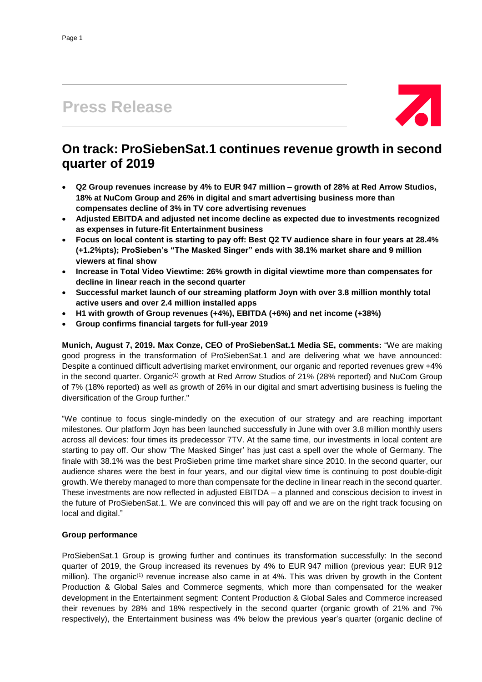# **Press Release**



## **On track: ProSiebenSat.1 continues revenue growth in second quarter of 2019**

- **Q2 Group revenues increase by 4% to EUR 947 million – growth of 28% at Red Arrow Studios, 18% at NuCom Group and 26% in digital and smart advertising business more than compensates decline of 3% in TV core advertising revenues**
- **Adjusted EBITDA and adjusted net income decline as expected due to investments recognized as expenses in future-fit Entertainment business**
- Focus on local content is starting to pay off: Best Q2 TV audience share in four years at 28.4% **(+1.2%pts); ProSieben's "The Masked Singer" ends with 38.1% market share and 9 million viewers at final show**
- **Increase in Total Video Viewtime: 26% growth in digital viewtime more than compensates for decline in linear reach in the second quarter**
- **Successful market launch of our streaming platform Joyn with over 3.8 million monthly total active users and over 2.4 million installed apps**
- **H1 with growth of Group revenues (+4%), EBITDA (+6%) and net income (+38%)**
- **Group confirms financial targets for full-year 2019**

**Munich, August 7, 2019. Max Conze, CEO of ProSiebenSat.1 Media SE, comments:** "We are making good progress in the transformation of ProSiebenSat.1 and are delivering what we have announced: Despite a continued difficult advertising market environment, our organic and reported revenues grew +4% in the second quarter. Organic<sup>(1)</sup> growth at Red Arrow Studios of 21% (28% reported) and NuCom Group of 7% (18% reported) as well as growth of 26% in our digital and smart advertising business is fueling the diversification of the Group further."

"We continue to focus single-mindedly on the execution of our strategy and are reaching important milestones. Our platform Joyn has been launched successfully in June with over 3.8 million monthly users across all devices: four times its predecessor 7TV. At the same time, our investments in local content are starting to pay off. Our show 'The Masked Singer' has just cast a spell over the whole of Germany. The finale with 38.1% was the best ProSieben prime time market share since 2010. In the second quarter, our audience shares were the best in four years, and our digital view time is continuing to post double-digit growth. We thereby managed to more than compensate for the decline in linear reach in the second quarter. These investments are now reflected in adjusted EBITDA – a planned and conscious decision to invest in the future of ProSiebenSat.1. We are convinced this will pay off and we are on the right track focusing on local and digital."

### **Group performance**

ProSiebenSat.1 Group is growing further and continues its transformation successfully: In the second quarter of 2019, the Group increased its revenues by 4% to EUR 947 million (previous year: EUR 912 million). The organic<sup> $(1)$ </sup> revenue increase also came in at  $4\%$ . This was driven by growth in the Content Production & Global Sales and Commerce segments, which more than compensated for the weaker development in the Entertainment segment: Content Production & Global Sales and Commerce increased their revenues by 28% and 18% respectively in the second quarter (organic growth of 21% and 7% respectively), the Entertainment business was 4% below the previous year's quarter (organic decline of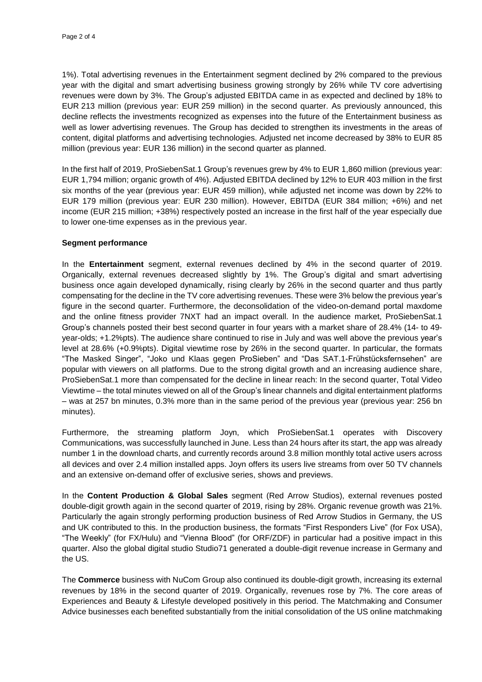1%). Total advertising revenues in the Entertainment segment declined by 2% compared to the previous year with the digital and smart advertising business growing strongly by 26% while TV core advertising revenues were down by 3%. The Group's adjusted EBITDA came in as expected and declined by 18% to EUR 213 million (previous year: EUR 259 million) in the second quarter. As previously announced, this decline reflects the investments recognized as expenses into the future of the Entertainment business as well as lower advertising revenues. The Group has decided to strengthen its investments in the areas of content, digital platforms and advertising technologies. Adjusted net income decreased by 38% to EUR 85 million (previous year: EUR 136 million) in the second quarter as planned.

In the first half of 2019, ProSiebenSat.1 Group's revenues grew by 4% to EUR 1,860 million (previous year: EUR 1,794 million; organic growth of 4%). Adjusted EBITDA declined by 12% to EUR 403 million in the first six months of the year (previous year: EUR 459 million), while adjusted net income was down by 22% to EUR 179 million (previous year: EUR 230 million). However, EBITDA (EUR 384 million; +6%) and net income (EUR 215 million; +38%) respectively posted an increase in the first half of the year especially due to lower one-time expenses as in the previous year.

#### **Segment performance**

In the **Entertainment** segment, external revenues declined by 4% in the second quarter of 2019. Organically, external revenues decreased slightly by 1%. The Group's digital and smart advertising business once again developed dynamically, rising clearly by 26% in the second quarter and thus partly compensating for the decline in the TV core advertising revenues. These were 3% below the previous year's figure in the second quarter. Furthermore, the deconsolidation of the video-on-demand portal maxdome and the online fitness provider 7NXT had an impact overall. In the audience market, ProSiebenSat.1 Group's channels posted their best second quarter in four years with a market share of 28.4% (14- to 49 year-olds; +1.2%pts). The audience share continued to rise in July and was well above the previous year's level at 28.6% (+0.9%pts). Digital viewtime rose by 26% in the second quarter. In particular, the formats "The Masked Singer", "Joko und Klaas gegen ProSieben" and "Das SAT.1-Frühstücksfernsehen" are popular with viewers on all platforms. Due to the strong digital growth and an increasing audience share, ProSiebenSat.1 more than compensated for the decline in linear reach: In the second quarter, Total Video Viewtime – the total minutes viewed on all of the Group's linear channels and digital entertainment platforms – was at 257 bn minutes, 0.3% more than in the same period of the previous year (previous year: 256 bn minutes).

Furthermore, the streaming platform Joyn, which ProSiebenSat.1 operates with Discovery Communications, was successfully launched in June. Less than 24 hours after its start, the app was already number 1 in the download charts, and currently records around 3.8 million monthly total active users across all devices and over 2.4 million installed apps. Joyn offers its users live streams from over 50 TV channels and an extensive on-demand offer of exclusive series, shows and previews.

In the **Content Production & Global Sales** segment (Red Arrow Studios), external revenues posted double-digit growth again in the second quarter of 2019, rising by 28%. Organic revenue growth was 21%. Particularly the again strongly performing production business of Red Arrow Studios in Germany, the US and UK contributed to this. In the production business, the formats "First Responders Live" (for Fox USA), "The Weekly" (for FX/Hulu) and "Vienna Blood" (for ORF/ZDF) in particular had a positive impact in this quarter. Also the global digital studio Studio71 generated a double-digit revenue increase in Germany and the US.

The **Commerce** business with NuCom Group also continued its double-digit growth, increasing its external revenues by 18% in the second quarter of 2019. Organically, revenues rose by 7%. The core areas of Experiences and Beauty & Lifestyle developed positively in this period. The Matchmaking and Consumer Advice businesses each benefited substantially from the initial consolidation of the US online matchmaking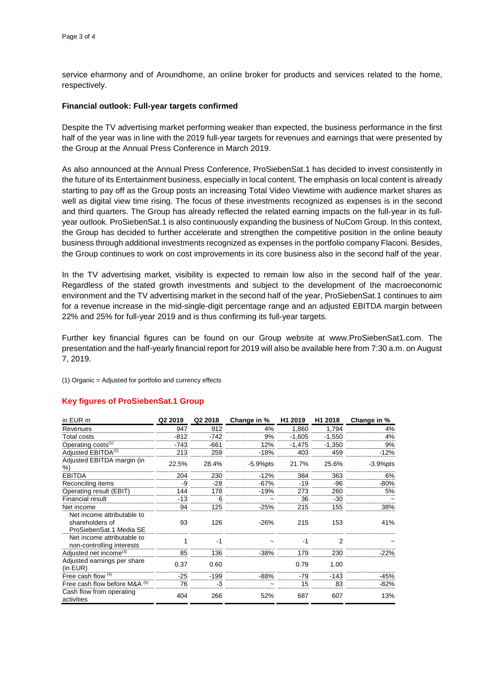service eharmony and of Aroundhome, an online broker for products and services related to the home, respectively.

#### **Financial outlook: Full-year targets confirmed**

Despite the TV advertising market performing weaker than expected, the business performance in the first half of the year was in line with the 2019 full-year targets for revenues and earnings that were presented by the Group at the Annual Press Conference in March 2019.

As also announced at the Annual Press Conference, ProSiebenSat.1 has decided to invest consistently in the future of its Entertainment business, especially in local content. The emphasis on local content is already starting to pay off as the Group posts an increasing Total Video Viewtime with audience market shares as well as digital view time rising. The focus of these investments recognized as expenses is in the second and third quarters. The Group has already reflected the related earning impacts on the full-year in its fullyear outlook. ProSiebenSat.1 is also continuously expanding the business of NuCom Group. In this context, the Group has decided to further accelerate and strengthen the competitive position in the online beauty business through additional investments recognized as expenses in the portfolio company Flaconi. Besides, the Group continues to work on cost improvements in its core business also in the second half of the year.

In the TV advertising market, visibility is expected to remain low also in the second half of the year. Regardless of the stated growth investments and subject to the development of the macroeconomic environment and the TV advertising market in the second half of the year, ProSiebenSat.1 continues to aim for a revenue increase in the mid-single-digit percentage range and an adjusted EBITDA margin between 22% and 25% for full-year 2019 and is thus confirming its full-year targets.

Further key financial figures can be found on our Group website at www.ProSiebenSat1.com. The presentation and the half-yearly financial report for 2019 will also be available here from 7:30 a.m. on August 7, 2019.

(1) Organic = Adjusted for portfolio and currency effects

### **Key figures of ProSiebenSat.1 Group**

| in EUR m                                                                 | Q2 2019 | Q2 2018 | Change in % | H <sub>1</sub> 2019 | H <sub>1</sub> 2018 | Change in % |
|--------------------------------------------------------------------------|---------|---------|-------------|---------------------|---------------------|-------------|
| Revenues                                                                 | 947     | 912     | 4%          | 1,860               | 1,794               | 4%          |
| Total costs                                                              | $-812$  | $-742$  | 9%          | $-1.605$            | $-1,550$            | 4%          |
| Operating $costs^{(1)}$                                                  | $-743$  | $-661$  | 12%         | $-1,475$            | $-1.350$            | 9%          |
| Adjusted EBITDA <sup>(2)</sup>                                           | 213     | 259     | $-18%$      | 403                 | 459                 | $-12%$      |
| Adjusted EBITDA margin (in<br>%)                                         | 22.5%   | 28.4%   | $-5.9%$ pts | 21.7%               | 25.6%               | $-3.9%$ pts |
| <b>EBITDA</b>                                                            | 204     | 230     | $-12%$      | 384                 | 363                 | 6%          |
| Reconciling items                                                        | -9      | $-28$   | -67%        | $-19$               | -96                 | $-80%$      |
| Operating result (EBIT)                                                  | 144     | 178     | $-19%$      | 273                 | 260                 | 5%          |
| Financial result                                                         | $-13$   | 6       |             | 36                  | $-30$               |             |
| Net income                                                               | 94      | 125     | $-25%$      | 215                 | 155                 | 38%         |
| Net income attributable to<br>shareholders of<br>ProSiebenSat.1 Media SE | 93      | 126     | $-26%$      | 215                 | 153                 | 41%         |
| Net income attributable to<br>non-controlling interests                  |         | $-1$    |             | $-1$                | $\overline{2}$      |             |
| Adjusted net income <sup>(3)</sup>                                       | 85      | 136     | -38%        | 179                 | 230                 | -22%        |
| Adjusted earnings per share<br>(in EUR)                                  | 0.37    | 0.60    |             | 0.79                | 1.00                |             |
| Free cash flow $(4)$                                                     | $-25$   | $-199$  | $-88%$      | $-79$               | $-143$              | -45%        |
| Free cash flow before M&A (5)                                            | 76      | -3      |             | 15                  | 83                  | $-82%$      |
| Cash flow from operating<br>activities                                   | 404     | 266     | 52%         | 687                 | 607                 | 13%         |